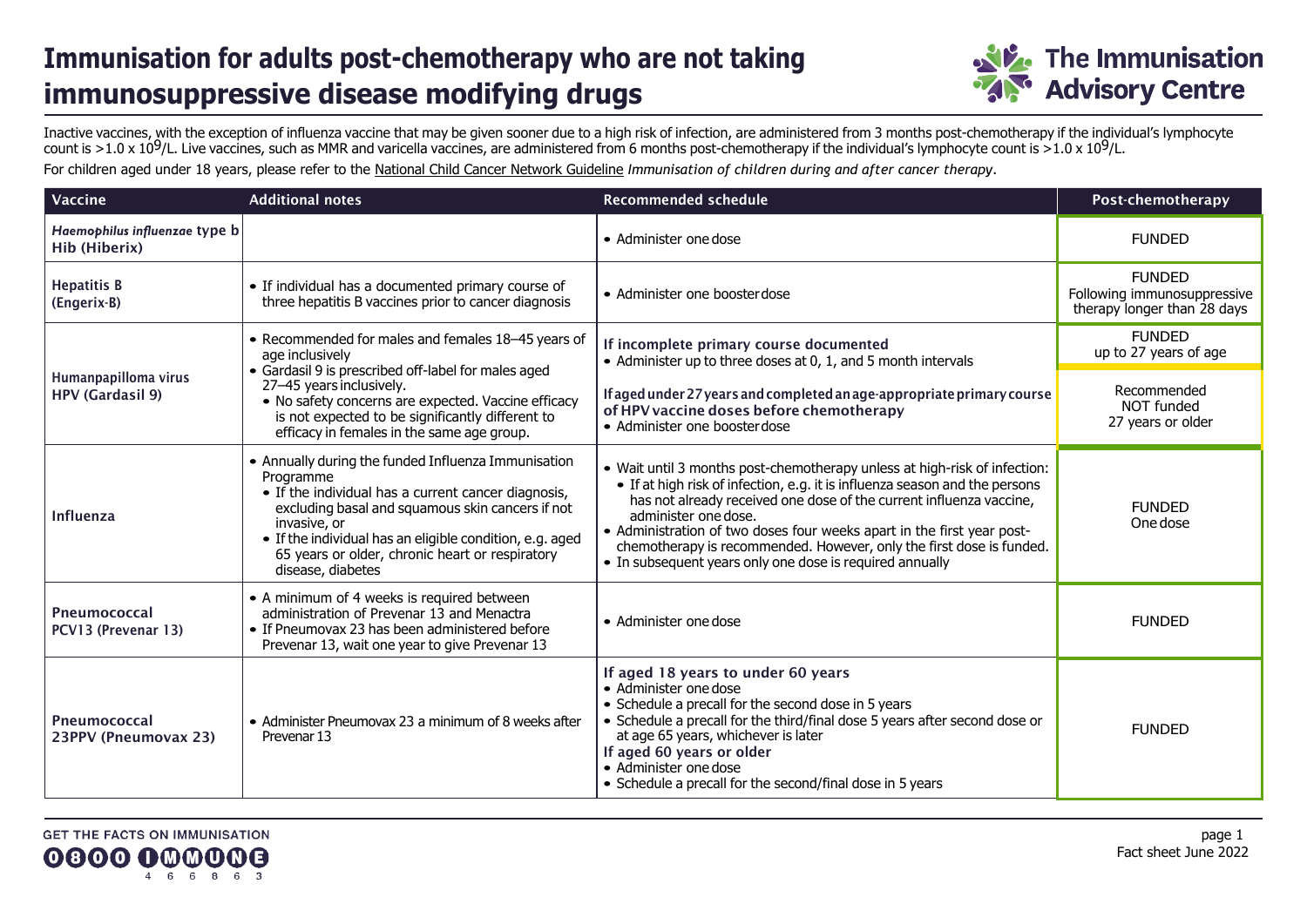## **Immunisation for adults post-chemotherapy who are not taking immunosuppressive disease modifying drugs**



Inactive vaccines, with the exception of influenza vaccine that may be given sooner due to a high risk of infection, are administered from 3 months post-chemotherapy if the individual's lymphocyte count is  $>1.0 \times 10^9$ /L. Live vaccines, such as MMR and varicella vaccines, are administered from 6 months post-chemotherapy if the individual's lymphocyte count is  $>1.0 \times 10^9$ /L.

For children aged under 18 years, please refer to the [National Child Cancer Network Guideline](https://www.starship.org.nz/guidelines/immunisation-of-children-during-and-after-cancer-therapy/) *Immunisation of children during and after cancer therapy*.

| Vaccine                                         | <b>Additional notes</b>                                                                                                                                                                                                                                                                                                         | <b>Recommended schedule</b>                                                                                                                                                                                                                                                                                                                                                                                                                                           | Post-chemotherapy                                                           |
|-------------------------------------------------|---------------------------------------------------------------------------------------------------------------------------------------------------------------------------------------------------------------------------------------------------------------------------------------------------------------------------------|-----------------------------------------------------------------------------------------------------------------------------------------------------------------------------------------------------------------------------------------------------------------------------------------------------------------------------------------------------------------------------------------------------------------------------------------------------------------------|-----------------------------------------------------------------------------|
| Haemophilus influenzae type b<br>Hib (Hiberix)  |                                                                                                                                                                                                                                                                                                                                 | • Administer one dose                                                                                                                                                                                                                                                                                                                                                                                                                                                 | <b>FUNDED</b>                                                               |
| <b>Hepatitis B</b><br>(Engerix-B)               | • If individual has a documented primary course of<br>three hepatitis B vaccines prior to cancer diagnosis                                                                                                                                                                                                                      | • Administer one booster dose                                                                                                                                                                                                                                                                                                                                                                                                                                         | <b>FUNDED</b><br>Following immunosuppressive<br>therapy longer than 28 days |
|                                                 | • Recommended for males and females 18-45 years of<br>age inclusively<br>• Gardasil 9 is prescribed off-label for males aged                                                                                                                                                                                                    | If incomplete primary course documented<br>• Administer up to three doses at 0, 1, and 5 month intervals                                                                                                                                                                                                                                                                                                                                                              | <b>FUNDED</b><br>up to 27 years of age                                      |
| Humanpapilloma virus<br><b>HPV (Gardasil 9)</b> | 27-45 years inclusively.<br>• No safety concerns are expected. Vaccine efficacy<br>is not expected to be significantly different to<br>efficacy in females in the same age group.                                                                                                                                               | If aged under 27 years and completed an age-appropriate primary course<br>of HPV vaccine doses before chemotherapy<br>• Administer one booster dose                                                                                                                                                                                                                                                                                                                   | Recommended<br>NOT funded<br>27 years or older                              |
| <b>Influenza</b>                                | • Annually during the funded Influenza Immunisation<br>Programme<br>• If the individual has a current cancer diagnosis,<br>excluding basal and squamous skin cancers if not<br>invasive, or<br>• If the individual has an eligible condition, e.g. aged<br>65 years or older, chronic heart or respiratory<br>disease, diabetes | • Wait until 3 months post-chemotherapy unless at high-risk of infection:<br>• If at high risk of infection, e.g. it is influenza season and the persons<br>has not already received one dose of the current influenza vaccine,<br>administer one dose.<br>• Administration of two doses four weeks apart in the first year post-<br>chemotherapy is recommended. However, only the first dose is funded.<br>• In subsequent years only one dose is required annually | <b>FUNDED</b><br>One dose                                                   |
| Pneumococcal<br>PCV13 (Prevenar 13)             | • A minimum of 4 weeks is required between<br>administration of Prevenar 13 and Menactra<br>• If Pneumovax 23 has been administered before<br>Prevenar 13, wait one year to give Prevenar 13                                                                                                                                    | • Administer one dose                                                                                                                                                                                                                                                                                                                                                                                                                                                 | <b>FUNDED</b>                                                               |
| Pneumococcal<br>23PPV (Pneumovax 23)            | • Administer Pneumovax 23 a minimum of 8 weeks after<br>Prevenar 13                                                                                                                                                                                                                                                             | If aged 18 years to under 60 years<br>• Administer one dose<br>• Schedule a precall for the second dose in 5 years<br>• Schedule a precall for the third/final dose 5 years after second dose or<br>at age 65 years, whichever is later<br>If aged 60 years or older<br>• Administer one dose<br>• Schedule a precall for the second/final dose in 5 years                                                                                                            | <b>FUNDED</b>                                                               |